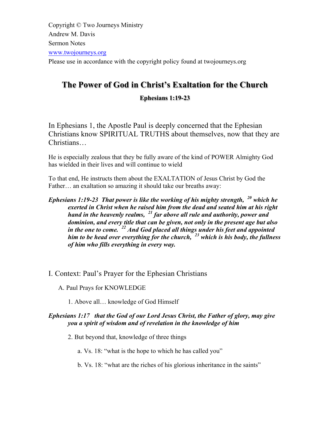Copyright © Two Journeys Ministry Andrew M. Davis Sermon Notes www.twojourneys.org Please use in accordance with the copyright policy found at twojourneys.org

# **The Power of God in Christ's Exaltation for the Church**

# **Ephesians 1:19-23**

In Ephesians 1, the Apostle Paul is deeply concerned that the Ephesian Christians know SPIRITUAL TRUTHS about themselves, now that they are Christians…

He is especially zealous that they be fully aware of the kind of POWER Almighty God has wielded in their lives and will continue to wield

To that end, He instructs them about the EXALTATION of Jesus Christ by God the Father… an exaltation so amazing it should take our breaths away:

# *Ephesians 1:19-23 That power is like the working of his mighty strength, <sup>20</sup> which he exerted in Christ when he raised him from the dead and seated him at his right hand in the heavenly realms, <sup>21</sup> far above all rule and authority, power and dominion, and every title that can be given, not only in the present age but also in the one to come. <sup>22</sup> And God placed all things under his feet and appointed him to be head over everything for the church, <sup>23</sup> which is his body, the fullness of him who fills everything in every way.*

I. Context: Paul's Prayer for the Ephesian Christians

A. Paul Prays for KNOWLEDGE

1. Above all… knowledge of God Himself

# *Ephesians 1:17 that the God of our Lord Jesus Christ, the Father of glory, may give you a spirit of wisdom and of revelation in the knowledge of him*

2. But beyond that, knowledge of three things

a. Vs. 18: "what is the hope to which he has called you"

b. Vs. 18: "what are the riches of his glorious inheritance in the saints"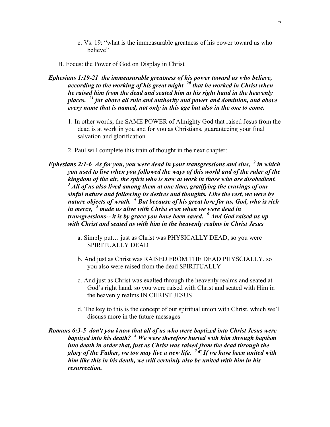- c. Vs. 19: "what is the immeasurable greatness of his power toward us who believe"
- B. Focus: the Power of God on Display in Christ
- *Ephesians 1:19-21 the immeasurable greatness of his power toward us who believe, according to the working of his great might <sup>20</sup> that he worked in Christ when he raised him from the dead and seated him at his right hand in the heavenly places, <sup>21</sup> far above all rule and authority and power and dominion, and above every name that is named, not only in this age but also in the one to come.*
	- 1. In other words, the SAME POWER of Almighty God that raised Jesus from the dead is at work in you and for you as Christians, guaranteeing your final salvation and glorification
	- 2. Paul will complete this train of thought in the next chapter:
- *Ephesians 2:1-6 As for you, you were dead in your transgressions and sins, <sup>2</sup> in which you used to live when you followed the ways of this world and of the ruler of the kingdom of the air, the spirit who is now at work in those who are disobedient. <sup>3</sup> All of us also lived among them at one time, gratifying the cravings of our sinful nature and following its desires and thoughts. Like the rest, we were by nature objects of wrath. <sup>4</sup> But because of his great love for us, God, who is rich in mercy, <sup>5</sup> made us alive with Christ even when we were dead in transgressions-- it is by grace you have been saved. <sup>6</sup> And God raised us up with Christ and seated us with him in the heavenly realms in Christ Jesus*
	- a. Simply put… just as Christ was PHYSICALLY DEAD, so you were SPIRITUALLY DEAD
	- b. And just as Christ was RAISED FROM THE DEAD PHYSCIALLY, so you also were raised from the dead SPIRITUALLY
	- c. And just as Christ was exalted through the heavenly realms and seated at God's right hand, so you were raised with Christ and seated with Him in the heavenly realms IN CHRIST JESUS
	- d. The key to this is the concept of our spiritual union with Christ, which we'll discuss more in the future messages

*Romans 6:3-5 don't you know that all of us who were baptized into Christ Jesus were baptized into his death? <sup>4</sup> We were therefore buried with him through baptism into death in order that, just as Christ was raised from the dead through the glory of the Father, we too may live a new life. <sup>5</sup> ¶ If we have been united with him like this in his death, we will certainly also be united with him in his resurrection.*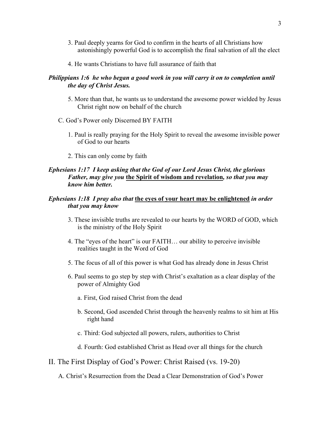- 3. Paul deeply yearns for God to confirm in the hearts of all Christians how astonishingly powerful God is to accomplish the final salvation of all the elect
- 4. He wants Christians to have full assurance of faith that

# *Philippians 1:6 he who began a good work in you will carry it on to completion until the day of Christ Jesus.*

- 5. More than that, he wants us to understand the awesome power wielded by Jesus Christ right now on behalf of the church
- C. God's Power only Discerned BY FAITH
	- 1. Paul is really praying for the Holy Spirit to reveal the awesome invisible power of God to our hearts
	- 2. This can only come by faith

# *Ephesians 1:17 I keep asking that the God of our Lord Jesus Christ, the glorious Father, may give you* **the Spirit of wisdom and revelation***, so that you may know him better.*

# *Ephesians 1:18 I pray also that* **the eyes of your heart may be enlightened** *in order that you may know*

- 3. These invisible truths are revealed to our hearts by the WORD of GOD, which is the ministry of the Holy Spirit
- 4. The "eyes of the heart" is our FAITH… our ability to perceive invisible realities taught in the Word of God
- 5. The focus of all of this power is what God has already done in Jesus Christ
- 6. Paul seems to go step by step with Christ's exaltation as a clear display of the power of Almighty God
	- a. First, God raised Christ from the dead
	- b. Second, God ascended Christ through the heavenly realms to sit him at His right hand
	- c. Third: God subjected all powers, rulers, authorities to Christ
	- d. Fourth: God established Christ as Head over all things for the church
- II. The First Display of God's Power: Christ Raised (vs. 19-20)

A. Christ's Resurrection from the Dead a Clear Demonstration of God's Power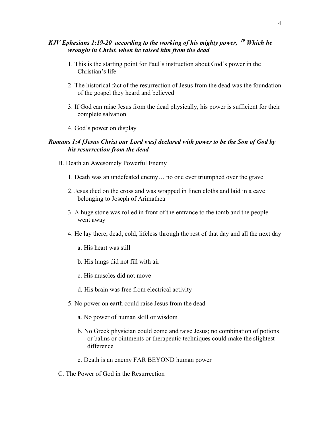# *KJV Ephesians 1:19-20 according to the working of his mighty power, <sup>20</sup> Which he wrought in Christ, when he raised him from the dead*

- 1. This is the starting point for Paul's instruction about God's power in the Christian's life
- 2. The historical fact of the resurrection of Jesus from the dead was the foundation of the gospel they heard and believed
- 3. If God can raise Jesus from the dead physically, his power is sufficient for their complete salvation
- 4. God's power on display

# *Romans 1:4 [Jesus Christ our Lord was] declared with power to be the Son of God by his resurrection from the dead*

- B. Death an Awesomely Powerful Enemy
	- 1. Death was an undefeated enemy… no one ever triumphed over the grave
	- 2. Jesus died on the cross and was wrapped in linen cloths and laid in a cave belonging to Joseph of Arimathea
	- 3. A huge stone was rolled in front of the entrance to the tomb and the people went away
	- 4. He lay there, dead, cold, lifeless through the rest of that day and all the next day
		- a. His heart was still
		- b. His lungs did not fill with air
		- c. His muscles did not move
		- d. His brain was free from electrical activity
	- 5. No power on earth could raise Jesus from the dead
		- a. No power of human skill or wisdom
		- b. No Greek physician could come and raise Jesus; no combination of potions or balms or ointments or therapeutic techniques could make the slightest difference
		- c. Death is an enemy FAR BEYOND human power
- C. The Power of God in the Resurrection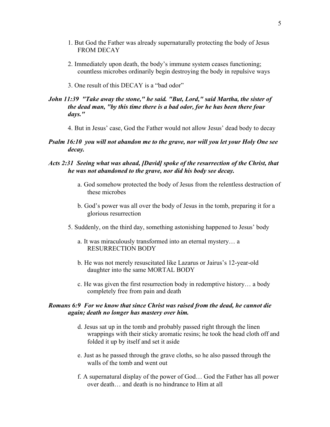- 1. But God the Father was already supernaturally protecting the body of Jesus FROM DECAY
- 2. Immediately upon death, the body's immune system ceases functioning; countless microbes ordinarily begin destroying the body in repulsive ways
- 3. One result of this DECAY is a "bad odor"

#### *John 11:39 "Take away the stone," he said. "But, Lord," said Martha, the sister of the dead man, "by this time there is a bad odor, for he has been there four days."*

- 4. But in Jesus' case, God the Father would not allow Jesus' dead body to decay
- *Psalm 16:10 you will not abandon me to the grave, nor will you let your Holy One see decay.*

### *Acts 2:31 Seeing what was ahead, [David] spoke of the resurrection of the Christ, that he was not abandoned to the grave, nor did his body see decay.*

- a. God somehow protected the body of Jesus from the relentless destruction of these microbes
- b. God's power was all over the body of Jesus in the tomb, preparing it for a glorious resurrection
- 5. Suddenly, on the third day, something astonishing happened to Jesus' body
	- a. It was miraculously transformed into an eternal mystery… a RESURRECTION BODY
	- b. He was not merely resuscitated like Lazarus or Jairus's 12-year-old daughter into the same MORTAL BODY
	- c. He was given the first resurrection body in redemptive history… a body completely free from pain and death

#### *Romans 6:9 For we know that since Christ was raised from the dead, he cannot die again; death no longer has mastery over him.*

- d. Jesus sat up in the tomb and probably passed right through the linen wrappings with their sticky aromatic resins; he took the head cloth off and folded it up by itself and set it aside
- e. Just as he passed through the grave cloths, so he also passed through the walls of the tomb and went out
- f. A supernatural display of the power of God… God the Father has all power over death… and death is no hindrance to Him at all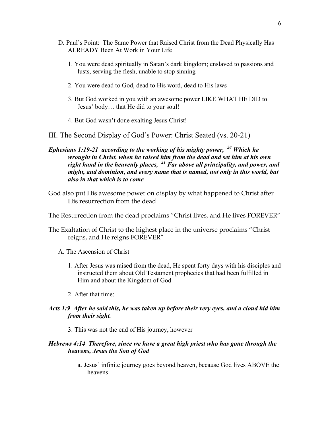- D. Paul's Point: The Same Power that Raised Christ from the Dead Physically Has ALREADY Been At Work in Your Life
	- 1. You were dead spiritually in Satan's dark kingdom; enslaved to passions and lusts, serving the flesh, unable to stop sinning
	- 2. You were dead to God, dead to His word, dead to His laws
	- 3. But God worked in you with an awesome power LIKE WHAT HE DID to Jesus' body… that He did to your soul!
	- 4. But God wasn't done exalting Jesus Christ!

III. The Second Display of God's Power: Christ Seated (vs. 20-21)

*Ephesians 1:19-21 according to the working of his mighty power, <sup>20</sup> Which he wrought in Christ, when he raised him from the dead and set him at his own right hand in the heavenly places, <sup>21</sup> Far above all principality, and power, and might, and dominion, and every name that is named, not only in this world, but also in that which is to come*

God also put His awesome power on display by what happened to Christ after His resurrection from the dead

The Resurrection from the dead proclaims "Christ lives, and He lives FOREVER"

- The Exaltation of Christ to the highest place in the universe proclaims "Christ reigns, and He reigns FOREVER"
	- A. The Ascension of Christ
		- 1. After Jesus was raised from the dead, He spent forty days with his disciples and instructed them about Old Testament prophecies that had been fulfilled in Him and about the Kingdom of God
		- 2. After that time:

## *Acts 1:9 After he said this, he was taken up before their very eyes, and a cloud hid him from their sight.*

3. This was not the end of His journey, however

#### *Hebrews 4:14 Therefore, since we have a great high priest who has gone through the heavens, Jesus the Son of God*

a. Jesus' infinite journey goes beyond heaven, because God lives ABOVE the heavens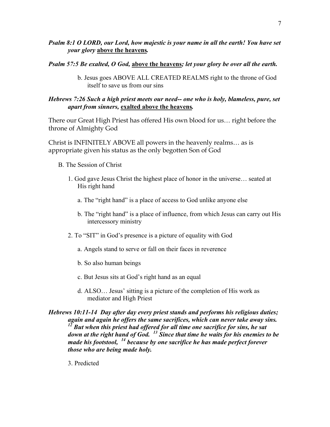# *Psalm 8:1 O LORD, our Lord, how majestic is your name in all the earth! You have set your glory* **above the heavens***.*

#### *Psalm 57:5 Be exalted, O God,* **above the heavens***; let your glory be over all the earth.*

b. Jesus goes ABOVE ALL CREATED REALMS right to the throne of God itself to save us from our sins

# *Hebrews 7:26 Such a high priest meets our need-- one who is holy, blameless, pure, set apart from sinners,* **exalted above the heavens***.*

There our Great High Priest has offered His own blood for us… right before the throne of Almighty God

Christ is INFINITELY ABOVE all powers in the heavenly realms… as is appropriate given his status as the only begotten Son of God

- B. The Session of Christ
	- 1. God gave Jesus Christ the highest place of honor in the universe… seated at His right hand
		- a. The "right hand" is a place of access to God unlike anyone else
		- b. The "right hand" is a place of influence, from which Jesus can carry out His intercessory ministry
	- 2. To "SIT" in God's presence is a picture of equality with God
		- a. Angels stand to serve or fall on their faces in reverence
		- b. So also human beings
		- c. But Jesus sits at God's right hand as an equal
		- d. ALSO… Jesus' sitting is a picture of the completion of His work as mediator and High Priest

*Hebrews 10:11-14 Day after day every priest stands and performs his religious duties; again and again he offers the same sacrifices, which can never take away sins.*  <sup>12</sup> But when this priest had offered for all time one sacrifice for sins, he sat *down at the right hand of God. <sup>13</sup> Since that time he waits for his enemies to be made his footstool, <sup>14</sup> because by one sacrifice he has made perfect forever those who are being made holy.*

3. Predicted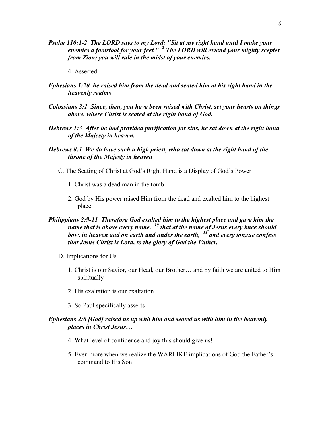- *Psalm 110:1-2 The LORD says to my Lord: "Sit at my right hand until I make your enemies a footstool for your feet." <sup>2</sup> The LORD will extend your mighty scepter from Zion; you will rule in the midst of your enemies.*
	- 4. Asserted
- *Ephesians 1:20 he raised him from the dead and seated him at his right hand in the heavenly realms*
- *Colossians 3:1 Since, then, you have been raised with Christ, set your hearts on things above, where Christ is seated at the right hand of God.*
- *Hebrews 1:3 After he had provided purification for sins, he sat down at the right hand of the Majesty in heaven.*
- *Hebrews 8:1 We do have such a high priest, who sat down at the right hand of the throne of the Majesty in heaven*
	- C. The Seating of Christ at God's Right Hand is a Display of God's Power
		- 1. Christ was a dead man in the tomb
		- 2. God by His power raised Him from the dead and exalted him to the highest place
- *Philippians 2:9-11 Therefore God exalted him to the highest place and gave him the name that is above every name, <sup>10</sup> that at the name of Jesus every knee should bow, in heaven and on earth and under the earth, <sup>11</sup> and every tongue confess that Jesus Christ is Lord, to the glory of God the Father.*
	- D. Implications for Us
		- 1. Christ is our Savior, our Head, our Brother… and by faith we are united to Him spiritually
		- 2. His exaltation is our exaltation
		- 3. So Paul specifically asserts

#### *Ephesians 2:6 [God] raised us up with him and seated us with him in the heavenly places in Christ Jesus…*

- 4. What level of confidence and joy this should give us!
- 5. Even more when we realize the WARLIKE implications of God the Father's command to His Son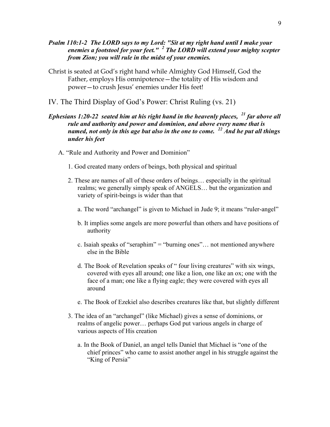- *Psalm 110:1-2 The LORD says to my Lord: "Sit at my right hand until I make your enemies a footstool for your feet." <sup>2</sup> The LORD will extend your mighty scepter from Zion; you will rule in the midst of your enemies.*
- Christ is seated at God's right hand while Almighty God Himself, God the Father, employs His omnipotence—the totality of His wisdom and power—to crush Jesus' enemies under His feet!
- IV. The Third Display of God's Power: Christ Ruling (vs. 21)

# *Ephesians 1:20-22 seated him at his right hand in the heavenly places, <sup>21</sup> far above all rule and authority and power and dominion, and above every name that is named, not only in this age but also in the one to come. <sup>22</sup> And he put all things under his feet*

- A. "Rule and Authority and Power and Dominion"
	- 1. God created many orders of beings, both physical and spiritual
	- 2. These are names of all of these orders of beings… especially in the spiritual realms; we generally simply speak of ANGELS… but the organization and variety of spirit-beings is wider than that
		- a. The word "archangel" is given to Michael in Jude 9; it means "ruler-angel"
		- b. It implies some angels are more powerful than others and have positions of authority
		- c. Isaiah speaks of "seraphim" = "burning ones"… not mentioned anywhere else in the Bible
		- d. The Book of Revelation speaks of " four living creatures" with six wings, covered with eyes all around; one like a lion, one like an ox; one with the face of a man; one like a flying eagle; they were covered with eyes all around
		- e. The Book of Ezekiel also describes creatures like that, but slightly different
	- 3. The idea of an "archangel" (like Michael) gives a sense of dominions, or realms of angelic power… perhaps God put various angels in charge of various aspects of His creation
		- a. In the Book of Daniel, an angel tells Daniel that Michael is "one of the chief princes" who came to assist another angel in his struggle against the "King of Persia"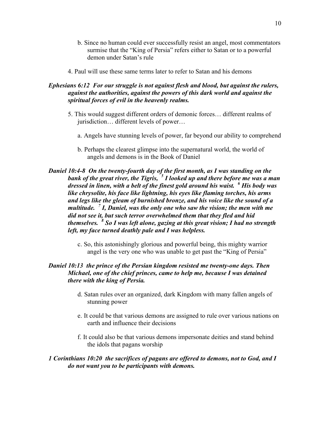- b. Since no human could ever successfully resist an angel, most commentators surmise that the "King of Persia" refers either to Satan or to a powerful demon under Satan's rule
- 4. Paul will use these same terms later to refer to Satan and his demons

# *Ephesians 6:12 For our struggle is not against flesh and blood, but against the rulers, against the authorities, against the powers of this dark world and against the spiritual forces of evil in the heavenly realms.*

- 5. This would suggest different orders of demonic forces… different realms of jurisdiction… different levels of power…
	- a. Angels have stunning levels of power, far beyond our ability to comprehend
	- b. Perhaps the clearest glimpse into the supernatural world, the world of angels and demons is in the Book of Daniel

# *Daniel 10:4-8 On the twenty-fourth day of the first month, as I was standing on the bank of the great river, the Tigris, <sup>5</sup> I looked up and there before me was a man dressed in linen, with a belt of the finest gold around his waist. <sup>6</sup> His body was like chrysolite, his face like lightning, his eyes like flaming torches, his arms and legs like the gleam of burnished bronze, and his voice like the sound of a multitude. <sup>7</sup> I, Daniel, was the only one who saw the vision; the men with me did not see it, but such terror overwhelmed them that they fled and hid themselves. <sup>8</sup> So I was left alone, gazing at this great vision; I had no strength left, my face turned deathly pale and I was helpless.*

c. So, this astonishingly glorious and powerful being, this mighty warrior angel is the very one who was unable to get past the "King of Persia"

# *Daniel 10:13 the prince of the Persian kingdom resisted me twenty-one days. Then Michael, one of the chief princes, came to help me, because I was detained there with the king of Persia.*

- d. Satan rules over an organized, dark Kingdom with many fallen angels of stunning power
- e. It could be that various demons are assigned to rule over various nations on earth and influence their decisions
- f. It could also be that various demons impersonate deities and stand behind the idols that pagans worship

#### *1 Corinthians 10:20 the sacrifices of pagans are offered to demons, not to God, and I do not want you to be participants with demons.*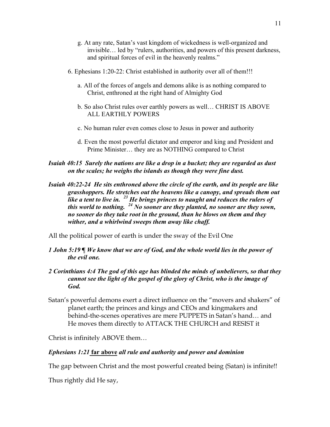- g. At any rate, Satan's vast kingdom of wickedness is well-organized and invisible… led by "rulers, authorities, and powers of this present darkness, and spiritual forces of evil in the heavenly realms."
- 6. Ephesians 1:20-22: Christ established in authority over all of them!!!
	- a. All of the forces of angels and demons alike is as nothing compared to Christ, enthroned at the right hand of Almighty God
	- b. So also Christ rules over earthly powers as well… CHRIST IS ABOVE ALL EARTHLY POWERS
	- c. No human ruler even comes close to Jesus in power and authority
	- d. Even the most powerful dictator and emperor and king and President and Prime Minister… they are as NOTHING compared to Christ
- *Isaiah 40:15 Surely the nations are like a drop in a bucket; they are regarded as dust on the scales; he weighs the islands as though they were fine dust.*
- *Isaiah 40:22-24 He sits enthroned above the circle of the earth, and its people are like grasshoppers. He stretches out the heavens like a canopy, and spreads them out like a tent to live in. <sup>23</sup> He brings princes to naught and reduces the rulers of this world to nothing. <sup>24</sup> No sooner are they planted, no sooner are they sown, no sooner do they take root in the ground, than he blows on them and they wither, and a whirlwind sweeps them away like chaff.*

All the political power of earth is under the sway of the Evil One

- *1 John 5:19 ¶ We know that we are of God, and the whole world lies in the power of the evil one.*
- *2 Corinthians 4:4 The god of this age has blinded the minds of unbelievers, so that they cannot see the light of the gospel of the glory of Christ, who is the image of God.*
- Satan's powerful demons exert a direct influence on the "movers and shakers" of planet earth; the princes and kings and CEOs and kingmakers and behind-the-scenes operatives are mere PUPPETS in Satan's hand… and He moves them directly to ATTACK THE CHURCH and RESIST it

Christ is infinitely ABOVE them…

#### *Ephesians 1:21* **far above** *all rule and authority and power and dominion*

The gap between Christ and the most powerful created being (Satan) is infinite!!

Thus rightly did He say,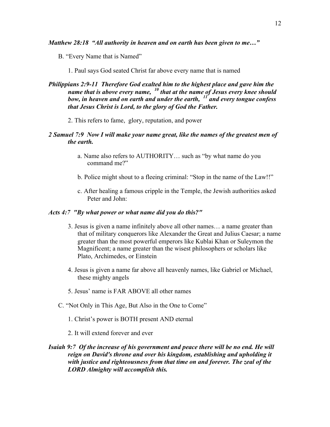*Matthew 28:18 "All authority in heaven and on earth has been given to me…"*

B. "Every Name that is Named"

1. Paul says God seated Christ far above every name that is named

- *Philippians 2:9-11 Therefore God exalted him to the highest place and gave him the name that is above every name, <sup>10</sup> that at the name of Jesus every knee should bow, in heaven and on earth and under the earth, <sup>11</sup> and every tongue confess that Jesus Christ is Lord, to the glory of God the Father.*
	- 2. This refers to fame, glory, reputation, and power

### *2 Samuel 7:9 Now I will make your name great, like the names of the greatest men of the earth.*

- a. Name also refers to AUTHORITY… such as "by what name do you command me?"
- b. Police might shout to a fleeing criminal: "Stop in the name of the Law!!"
- c. After healing a famous cripple in the Temple, the Jewish authorities asked Peter and John:

#### *Acts 4:7 "By what power or what name did you do this?"*

- 3. Jesus is given a name infinitely above all other names… a name greater than that of military conquerors like Alexander the Great and Julius Caesar; a name greater than the most powerful emperors like Kublai Khan or Suleymon the Magnificent; a name greater than the wisest philosophers or scholars like Plato, Archimedes, or Einstein
- 4. Jesus is given a name far above all heavenly names, like Gabriel or Michael, these mighty angels
- 5. Jesus' name is FAR ABOVE all other names
- C. "Not Only in This Age, But Also in the One to Come"
	- 1. Christ's power is BOTH present AND eternal
	- 2. It will extend forever and ever

# *Isaiah 9:7 Of the increase of his government and peace there will be no end. He will reign on David's throne and over his kingdom, establishing and upholding it with justice and righteousness from that time on and forever. The zeal of the LORD Almighty will accomplish this.*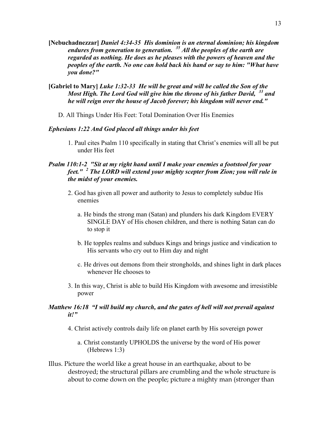- **[Nebuchadnezzar]** *Daniel 4:34-35 His dominion is an eternal dominion; his kingdom endures from generation to generation. <sup>35</sup> All the peoples of the earth are regarded as nothing. He does as he pleases with the powers of heaven and the peoples of the earth. No one can hold back his hand or say to him: "What have you done?"*
- **[Gabriel to Mary]** *Luke 1:32-33 He will be great and will be called the Son of the Most High. The Lord God will give him the throne of his father David, <sup>33</sup> and he will reign over the house of Jacob forever; his kingdom will never end."*
	- D. All Things Under His Feet: Total Domination Over His Enemies

#### *Ephesians 1:22 And God placed all things under his feet*

1. Paul cites Psalm 110 specifically in stating that Christ's enemies will all be put under His feet

#### *Psalm 110:1-2 "Sit at my right hand until I make your enemies a footstool for your feet." <sup>2</sup> The LORD will extend your mighty scepter from Zion; you will rule in the midst of your enemies.*

- 2. God has given all power and authority to Jesus to completely subdue His enemies
	- a. He binds the strong man (Satan) and plunders his dark Kingdom EVERY SINGLE DAY of His chosen children, and there is nothing Satan can do to stop it
	- b. He topples realms and subdues Kings and brings justice and vindication to His servants who cry out to Him day and night
	- c. He drives out demons from their strongholds, and shines light in dark places whenever He chooses to
- 3. In this way, Christ is able to build His Kingdom with awesome and irresistible power

# *Matthew 16:18 "I will build my church, and the gates of hell will not prevail against it!"*

- 4. Christ actively controls daily life on planet earth by His sovereign power
	- a. Christ constantly UPHOLDS the universe by the word of His power (Hebrews 1:3)
- Illus. Picture the world like a great house in an earthquake, about to be destroyed; the structural pillars are crumbling and the whole structure is about to come down on the people; picture a mighty man (stronger than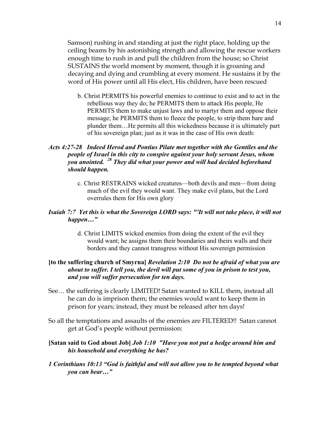Samson) rushing in and standing at just the right place, holding up the ceiling beams by his astonishing strength and allowing the rescue workers enough time to rush in and pull the children from the house; so Christ SUSTAINS the world moment by moment, though it is groaning and decaying and dying and crumbling at every moment. He sustains it by the word of His power until all His elect, His children, have been rescued

b. Christ PERMITS his powerful enemies to continue to exist and to act in the rebellious way they do; he PERMITS them to attack His people, He PERMITS them to make unjust laws and to martyr them and oppose their message; he PERMITS them to fleece the people, to strip them bare and plunder them…He permits all this wickedness because it is ultimately part of his sovereign plan; just as it was in the case of His own death:

# *Acts 4:27-28 Indeed Herod and Pontius Pilate met together with the Gentiles and the people of Israel in this city to conspire against your holy servant Jesus, whom you anointed. <sup>28</sup> They did what your power and will had decided beforehand should happen.*

c. Christ RESTRAINS wicked creatures—both devils and men—from doing much of the evil they would want. They make evil plans, but the Lord overrules them for His own glory

#### *Isaiah 7:7 Yet this is what the Sovereign LORD says: "'It will not take place, it will not happen…"*

d. Christ LIMITS wicked enemies from doing the extent of the evil they would want; he assigns them their boundaries and theirs walls and their borders and they cannot transgress without His sovereign permission

# **[to the suffering church of Smyrna]** *Revelation 2:10 Do not be afraid of what you are about to suffer. I tell you, the devil will put some of you in prison to test you, and you will suffer persecution for ten days.*

- See… the suffering is clearly LIMITED! Satan wanted to KILL them, instead all he can do is imprison them; the enemies would want to keep them in prison for years; instead, they must be released after ten days!
- So all the temptations and assaults of the enemies are FILTERED!! Satan cannot get at God's people without permission:

# **[Satan said to God about Job]** *Job 1:10 "Have you not put a hedge around him and his household and everything he has?*

*1 Corinthians 10:13 "God is faithful and will not allow you to be tempted beyond what you can bear…"*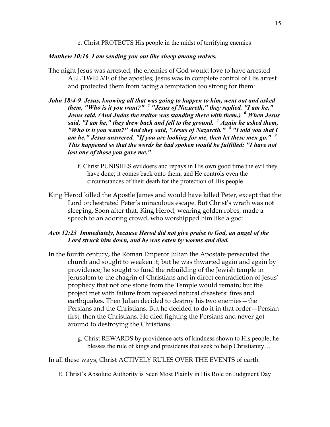e. Christ PROTECTS His people in the midst of terrifying enemies

# *Matthew 10:16 I am sending you out like sheep among wolves.*

- The night Jesus was arrested, the enemies of God would love to have arrested ALL TWELVE of the apostles; Jesus was in complete control of His arrest and protected them from facing a temptation too strong for them:
- *John 18:4-9 Jesus, knowing all that was going to happen to him, went out and asked them, "Who is it you want?" <sup>5</sup> "Jesus of Nazareth," they replied. "I am he," Jesus said. (And Judas the traitor was standing there with them.) <sup>6</sup> When Jesus said, "I am he," they drew back and fell to the ground. <sup>7</sup> Again he asked them, "Who is it you want?" And they said, "Jesus of Nazareth." <sup>8</sup> "I told you that I am he," Jesus answered. "If you are looking for me, then let these men go." <sup>9</sup> This happened so that the words he had spoken would be fulfilled: "I have not lost one of those you gave me."*
	- f. Christ PUNISHES evildoers and repays in His own good time the evil they have done; it comes back onto them, and He controls even the circumstances of their death for the protection of His people
- King Herod killed the Apostle James and would have killed Peter, except that the Lord orchestrated Peter's miraculous escape. But Christ's wrath was not sleeping. Soon after that, King Herod, wearing golden robes, made a speech to an adoring crowd, who worshipped him like a god:

# *Acts 12:23 Immediately, because Herod did not give praise to God, an angel of the Lord struck him down, and he was eaten by worms and died.*

- In the fourth century, the Roman Emperor Julian the Apostate persecuted the church and sought to weaken it; but he was thwarted again and again by providence; he sought to fund the rebuilding of the Jewish temple in Jerusalem to the chagrin of Christians and in direct contradiction of Jesus' prophecy that not one stone from the Temple would remain; but the project met with failure from repeated natural disasters: fires and earthquakes. Then Julian decided to destroy his two enemies—the Persians and the Christians. But he decided to do it in that order—Persian first, then the Christians. He died fighting the Persians and never got around to destroying the Christians
	- g. Christ REWARDS by providence acts of kindness shown to His people; he blesses the rule of kings and presidents that seek to help Christianity…

In all these ways, Christ ACTIVELY RULES OVER THE EVENTS of earth

E. Christ's Absolute Authority is Seen Most Plainly in His Role on Judgment Day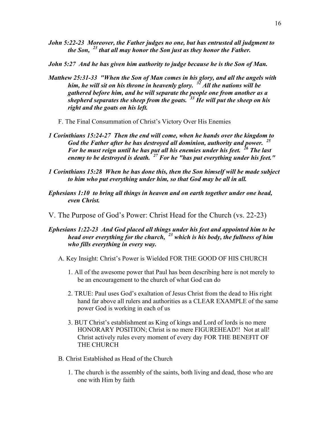- *John 5:22-23 Moreover, the Father judges no one, but has entrusted all judgment to the Son, <sup>23</sup> that all may honor the Son just as they honor the Father.*
- *John 5:27 And he has given him authority to judge because he is the Son of Man.*
- *Matthew 25:31-33 "When the Son of Man comes in his glory, and all the angels with him, he will sit on his throne in heavenly glory. <sup>32</sup> All the nations will be gathered before him, and he will separate the people one from another as a shepherd separates the sheep from the goats. <sup>33</sup> He will put the sheep on his right and the goats on his left.*
	- F. The Final Consummation of Christ's Victory Over His Enemies
- *1 Corinthians 15:24-27 Then the end will come, when he hands over the kingdom to God the Father after he has destroyed all dominion, authority and power. <sup>25</sup> For he must reign until he has put all his enemies under his feet. <sup>26</sup> The last enemy to be destroyed is death. <sup>27</sup> For he "has put everything under his feet."*
- *1 Corinthians 15:28 When he has done this, then the Son himself will be made subject to him who put everything under him, so that God may be all in all.*
- *Ephesians 1:10 to bring all things in heaven and on earth together under one head, even Christ.*
- V. The Purpose of God's Power: Christ Head for the Church (vs. 22-23)
- *Ephesians 1:22-23 And God placed all things under his feet and appointed him to be head over everything for the church, <sup>23</sup> which is his body, the fullness of him who fills everything in every way.*
	- A. Key Insight: Christ's Power is Wielded FOR THE GOOD OF HIS CHURCH
		- 1. All of the awesome power that Paul has been describing here is not merely to be an encouragement to the church of what God can do
		- 2. TRUE: Paul uses God's exaltation of Jesus Christ from the dead to His right hand far above all rulers and authorities as a CLEAR EXAMPLE of the same power God is working in each of us
		- 3. BUT Christ's establishment as King of kings and Lord of lords is no mere HONORARY POSITION; Christ is no mere FIGUREHEAD!! Not at all! Christ actively rules every moment of every day FOR THE BENEFIT OF THE CHURCH
	- B. Christ Established as Head of the Church
		- 1. The church is the assembly of the saints, both living and dead, those who are one with Him by faith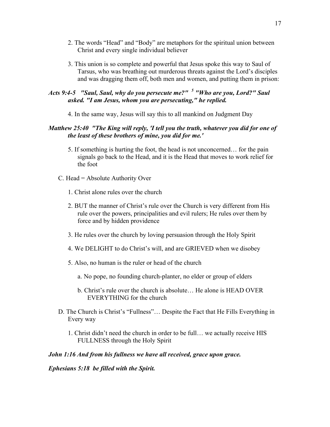- 2. The words "Head" and "Body" are metaphors for the spiritual union between Christ and every single individual believer
- 3. This union is so complete and powerful that Jesus spoke this way to Saul of Tarsus, who was breathing out murderous threats against the Lord's disciples and was dragging them off, both men and women, and putting them in prison:

# *Acts 9:4-5 "Saul, Saul, why do you persecute me?" <sup>5</sup> "Who are you, Lord?" Saul asked. "I am Jesus, whom you are persecuting," he replied.*

4. In the same way, Jesus will say this to all mankind on Judgment Day

# *Matthew 25:40 "The King will reply, 'I tell you the truth, whatever you did for one of the least of these brothers of mine, you did for me.'*

- 5. If something is hurting the foot, the head is not unconcerned… for the pain signals go back to the Head, and it is the Head that moves to work relief for the foot
- C. Head = Absolute Authority Over
	- 1. Christ alone rules over the church
	- 2. BUT the manner of Christ's rule over the Church is very different from His rule over the powers, principalities and evil rulers; He rules over them by force and by hidden providence
	- 3. He rules over the church by loving persuasion through the Holy Spirit
	- 4. We DELIGHT to do Christ's will, and are GRIEVED when we disobey
	- 5. Also, no human is the ruler or head of the church
		- a. No pope, no founding church-planter, no elder or group of elders
		- b. Christ's rule over the church is absolute… He alone is HEAD OVER EVERYTHING for the church
- D. The Church is Christ's "Fullness"… Despite the Fact that He Fills Everything in Every way
	- 1. Christ didn't need the church in order to be full… we actually receive HIS FULLNESS through the Holy Spirit

#### *John 1:16 And from his fullness we have all received, grace upon grace.*

*Ephesians 5:18 be filled with the Spirit.*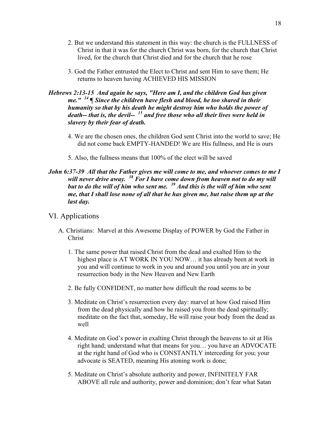- 2. But we understand this statement in this way: the church is the FULLNESS of Christ in that it was for the church Christ was born, for the church that Christ lived, for the church that Christ died and for the church that he rose
- 3. God the Father entrusted the Elect to Christ and sent Him to save them; He returns to heaven having ACHIEVED HIS MISSION

# *Hebrews 2:13-15 And again he says, "Here am I, and the children God has given me." <sup>14</sup> ¶ Since the children have flesh and blood, he too shared in their humanity so that by his death he might destroy him who holds the power of death-- that is, the devil-- <sup>15</sup> and free those who all their lives were held in slavery by their fear of death.*

- 4. We are the chosen ones, the children God sent Christ into the world to save; He did not come back EMPTY-HANDED! We are His fullness, and He is ours
- 5. Also, the fullness means that 100% of the elect will be saved

# *John 6:37-39 All that the Father gives me will come to me, and whoever comes to me I will never drive away. <sup>38</sup> For I have come down from heaven not to do my will but to do the will of him who sent me. <sup>39</sup> And this is the will of him who sent me, that I shall lose none of all that he has given me, but raise them up at the last day.*

## VI. Applications

- A. Christians: Marvel at this Awesome Display of POWER by God the Father in Christ
	- 1. The same power that raised Christ from the dead and exalted Him to the highest place is AT WORK IN YOU NOW… it has already been at work in you and will continue to work in you and around you until you are in your resurrection body in the New Heaven and New Earth
	- 2. Be fully CONFIDENT, no matter how difficult the road seems to be
	- 3. Meditate on Christ's resurrection every day: marvel at how God raised Him from the dead physically and how he raised you from the dead spiritually; meditate on the fact that, someday, He will raise your body from the dead as well
	- 4. Meditate on God's power in exalting Christ through the heavens to sit at His right hand; understand what that means for you… you have an ADVOCATE at the right hand of God who is CONSTANTLY interceding for you; your advocate is SEATED, meaning His atoning work is done;
	- 5. Meditate on Christ's absolute authority and power, INFINITELY FAR ABOVE all rule and authority, power and dominion; don't fear what Satan